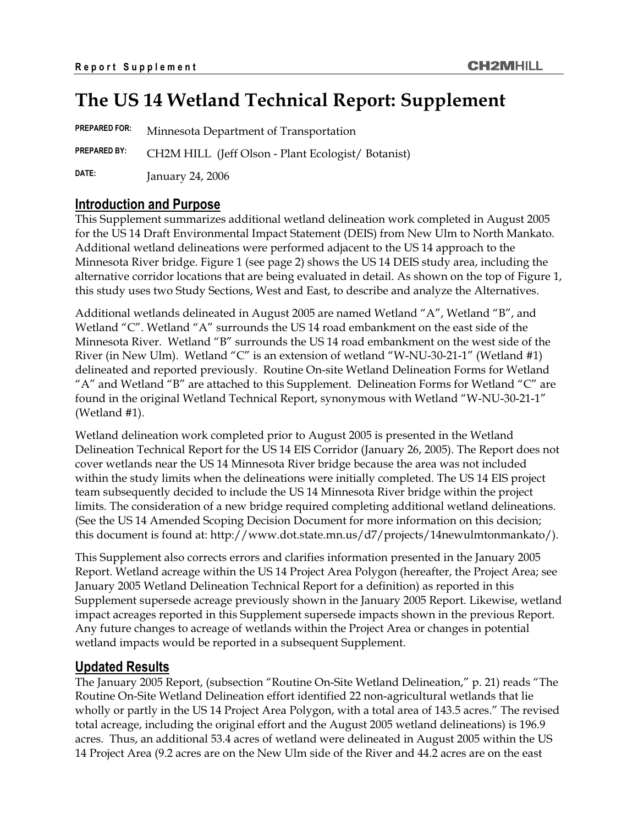# **The US 14 Wetland Technical Report: Supplement**

**PREPARED FOR:** Minnesota Department of Transportation **PREPARED BY:** CH2M HILL (Jeff Olson - Plant Ecologist/ Botanist) **DATE:** January 24, 2006

# **Introduction and Purpose**

This Supplement summarizes additional wetland delineation work completed in August 2005 for the US 14 Draft Environmental Impact Statement (DEIS) from New Ulm to North Mankato. Additional wetland delineations were performed adjacent to the US 14 approach to the Minnesota River bridge. Figure 1 (see page 2) shows the US 14 DEIS study area, including the alternative corridor locations that are being evaluated in detail. As shown on the top of Figure 1, this study uses two Study Sections, West and East, to describe and analyze the Alternatives.

Additional wetlands delineated in August 2005 are named Wetland "A", Wetland "B", and Wetland "C". Wetland "A" surrounds the US 14 road embankment on the east side of the Minnesota River. Wetland "B" surrounds the US 14 road embankment on the west side of the River (in New Ulm). Wetland "C" is an extension of wetland "W-NU-30-21-1" (Wetland #1) delineated and reported previously. Routine On-site Wetland Delineation Forms for Wetland "A" and Wetland "B" are attached to this Supplement. Delineation Forms for Wetland " $C$ " are found in the original Wetland Technical Report, synonymous with Wetland "W-NU-30-21-1" (Wetland #1).

Wetland delineation work completed prior to August 2005 is presented in the Wetland Delineation Technical Report for the US 14 EIS Corridor (January 26, 2005). The Report does not cover wetlands near the US 14 Minnesota River bridge because the area was not included within the study limits when the delineations were initially completed. The US 14 EIS project team subsequently decided to include the US 14 Minnesota River bridge within the project limits. The consideration of a new bridge required completing additional wetland delineations. (See the US 14 Amended Scoping Decision Document for more information on this decision; this document is found at: http://www.dot.state.mn.us/d7/projects/14newulmtonmankato/).

This Supplement also corrects errors and clarifies information presented in the January 2005 Report. Wetland acreage within the US 14 Project Area Polygon (hereafter, the Project Area; see January 2005 Wetland Delineation Technical Report for a definition) as reported in this Supplement supersede acreage previously shown in the January 2005 Report. Likewise, wetland impact acreages reported in this Supplement supersede impacts shown in the previous Report. Any future changes to acreage of wetlands within the Project Area or changes in potential wetland impacts would be reported in a subsequent Supplement.

# **Updated Results**

The January 2005 Report, (subsection "Routine On-Site Wetland Delineation," p. 21) reads "The Routine On-Site Wetland Delineation effort identified 22 non-agricultural wetlands that lie wholly or partly in the US 14 Project Area Polygon, with a total area of 143.5 acres." The revised total acreage, including the original effort and the August 2005 wetland delineations) is 196.9 acres. Thus, an additional 53.4 acres of wetland were delineated in August 2005 within the US 14 Project Area (9.2 acres are on the New Ulm side of the River and 44.2 acres are on the east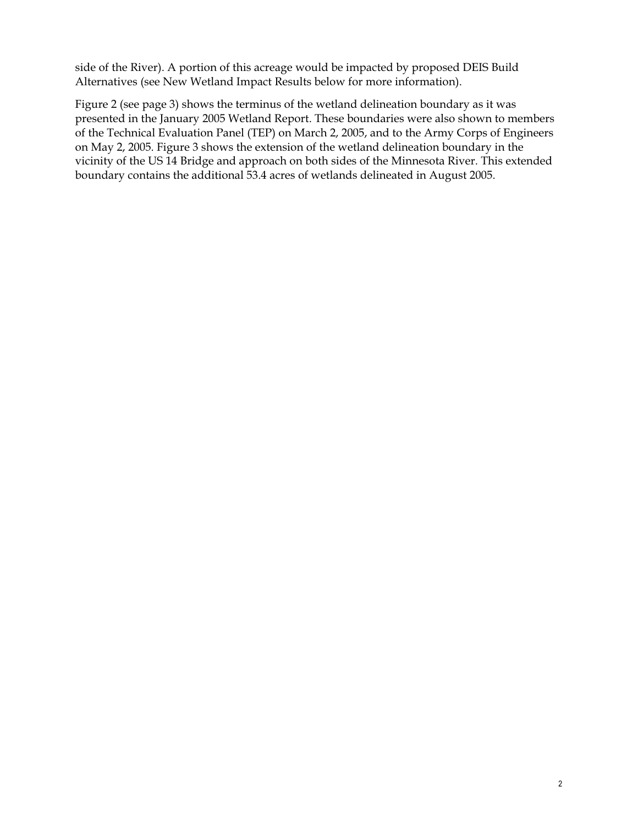side of the River). A portion of this acreage would be impacted by proposed DEIS Build Alternatives (see New Wetland Impact Results below for more information).

Figure 2 (see page 3) shows the terminus of the wetland delineation boundary as it was presented in the January 2005 Wetland Report. These boundaries were also shown to members of the Technical Evaluation Panel (TEP) on March 2, 2005, and to the Army Corps of Engineers on May 2, 2005. Figure 3 shows the extension of the wetland delineation boundary in the vicinity of the US 14 Bridge and approach on both sides of the Minnesota River. This extended boundary contains the additional 53.4 acres of wetlands delineated in August 2005.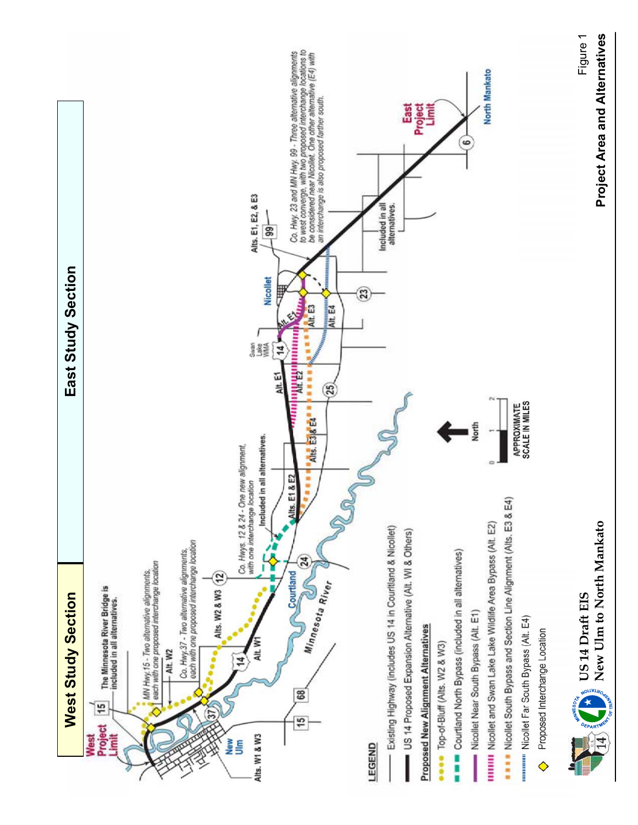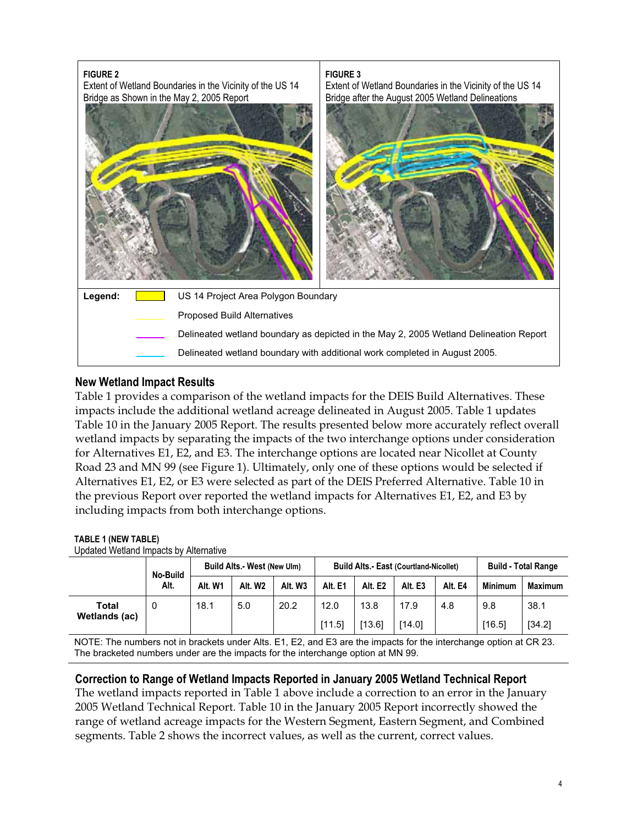

# **New Wetland Impact Results**

Table 1 provides a comparison of the wetland impacts for the DEIS Build Alternatives. These impacts include the additional wetland acreage delineated in August 2005. Table 1 updates Table 10 in the January 2005 Report. The results presented below more accurately reflect overall wetland impacts by separating the impacts of the two interchange options under consideration for Alternatives E1, E2, and E3. The interchange options are located near Nicollet at County Road 23 and MN 99 (see Figure 1). Ultimately, only one of these options would be selected if Alternatives E1, E2, or E3 were selected as part of the DEIS Preferred Alternative. Table 10 in the previous Report over reported the wetland impacts for Alternatives E1, E2, and E3 by including impacts from both interchange options.

# **TABLE 1 (NEW TABLE)**

| Updated Wetland Impacts by Alternative |          |                             |                     |         |                                               |         |         |         |                            |                |
|----------------------------------------|----------|-----------------------------|---------------------|---------|-----------------------------------------------|---------|---------|---------|----------------------------|----------------|
|                                        | No-Build | Build Alts.- West (New Ulm) |                     |         | <b>Build Alts.- East (Courtland-Nicollet)</b> |         |         |         | <b>Build - Total Range</b> |                |
|                                        | Alt.     | Alt. W1                     | Alt. W <sub>2</sub> | Alt. W3 | Alt. E1                                       | Alt. E2 | Alt. E3 | Alt. E4 | <b>Minimum</b>             | <b>Maximum</b> |
| Total                                  | 0        | 18.1                        | 5.0                 | 20.2    | 12.0                                          | 13.8    | 17.9    | 4.8     | 9.8                        | 38.1           |
| Wetlands (ac)                          |          |                             |                     |         | [11.5]                                        | [13.6]  | [14.0]  |         | [16.5]                     | [34.2]         |

NOTE: The numbers not in brackets under Alts. E1, E2, and E3 are the impacts for the interchange option at CR 23. The bracketed numbers under are the impacts for the interchange option at MN 99.

# **Correction to Range of Wetland Impacts Reported in January 2005 Wetland Technical Report**

The wetland impacts reported in Table 1 above include a correction to an error in the January 2005 Wetland Technical Report. Table 10 in the January 2005 Report incorrectly showed the range of wetland acreage impacts for the Western Segment, Eastern Segment, and Combined segments. Table 2 shows the incorrect values, as well as the current, correct values.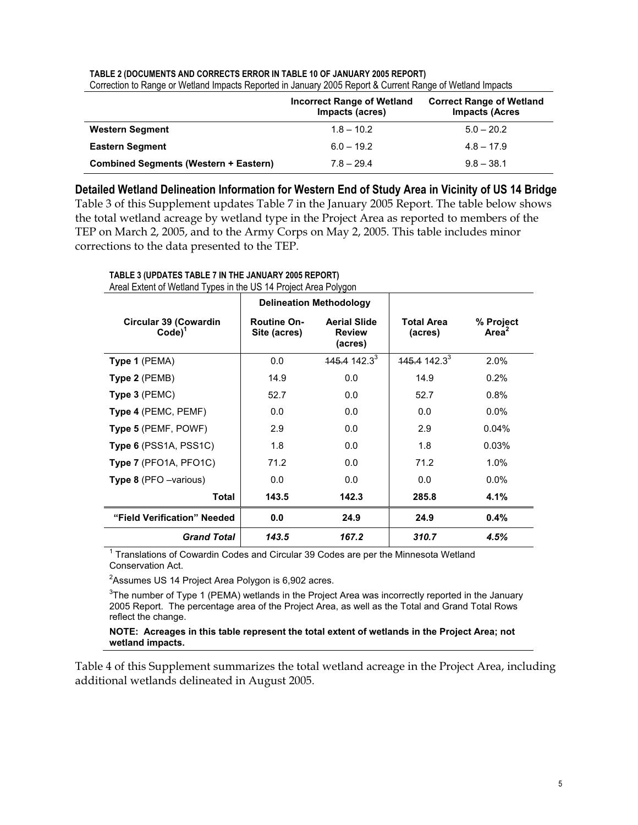|                                              | <b>Incorrect Range of Wetland</b><br>Impacts (acres) | <b>Correct Range of Wetland</b><br><b>Impacts (Acres</b> |
|----------------------------------------------|------------------------------------------------------|----------------------------------------------------------|
| <b>Western Segment</b>                       | $1.8 - 10.2$                                         | $5.0 - 20.2$                                             |
| <b>Eastern Segment</b>                       | $6.0 - 19.2$                                         | $4.8 - 17.9$                                             |
| <b>Combined Segments (Western + Eastern)</b> | $7.8 - 29.4$                                         | $9.8 - 38.1$                                             |

**TABLE 2 (DOCUMENTS AND CORRECTS ERROR IN TABLE 10 OF JANUARY 2005 REPORT)** Correction to Range or Wetland Impacts Reported in January 2005 Report & Current Range of Wetland Impacts

**Detailed Wetland Delineation Information for Western End of Study Area in Vicinity of US 14 Bridge**  Table 3 of this Supplement updates Table 7 in the January 2005 Report. The table below shows the total wetland acreage by wetland type in the Project Area as reported to members of the TEP on March 2, 2005, and to the Army Corps on May 2, 2005. This table includes minor corrections to the data presented to the TEP.

|                                                   |                                    | <b>Delineation Methodology</b>                  |                              |                                |
|---------------------------------------------------|------------------------------------|-------------------------------------------------|------------------------------|--------------------------------|
| <b>Circular 39 (Cowardin</b><br>Code <sup>1</sup> | <b>Routine On-</b><br>Site (acres) | <b>Aerial Slide</b><br><b>Review</b><br>(acres) | <b>Total Area</b><br>(acres) | % Project<br>Area <sup>2</sup> |
| Type 1 (PEMA)                                     | 0.0                                | $145.4142.3^{3}$                                | $145.4$ 142.3 <sup>3</sup>   | 2.0%                           |
| Type 2 (PEMB)                                     | 14.9                               | 0.0                                             | 14.9                         | 0.2%                           |
| Type 3 (PEMC)                                     | 52.7                               | 0.0                                             | 52.7                         | 0.8%                           |
| Type 4 (PEMC, PEMF)                               | 0.0                                | 0.0                                             | 0.0                          | $0.0\%$                        |
| Type 5 (PEMF, POWF)                               | 2.9                                | 0.0                                             | 2.9                          | 0.04%                          |
| Type 6 (PSS1A, PSS1C)                             | 1.8                                | 0.0                                             | 1.8                          | 0.03%                          |
| Type 7 (PFO1A, PFO1C)                             | 71.2                               | 0.0                                             | 71.2                         | 1.0%                           |
| <b>Type 8</b> (PFO -various)                      | 0.0                                | 0.0                                             | 0.0                          | $0.0\%$                        |
| <b>Total</b>                                      | 143.5                              | 142.3                                           | 285.8                        | 4.1%                           |
| "Field Verification" Needed                       | 0.0                                | 24.9                                            | 24.9                         | 0.4%                           |
| <b>Grand Total</b>                                | 143.5                              | 167.2                                           | 310.7                        | 4.5%                           |

**TABLE 3 (UPDATES TABLE 7 IN THE JANUARY 2005 REPORT)** 

 $1$  Translations of Cowardin Codes and Circular 39 Codes are per the Minnesota Wetland Conservation Act.

 ${}^{2}$ Assumes US 14 Project Area Polygon is 6,902 acres.

 ${}^{3}$ The number of Type 1 (PEMA) wetlands in the Project Area was incorrectly reported in the January 2005 Report. The percentage area of the Project Area, as well as the Total and Grand Total Rows reflect the change.

### **NOTE: Acreages in this table represent the total extent of wetlands in the Project Area; not wetland impacts.**

Table 4 of this Supplement summarizes the total wetland acreage in the Project Area, including additional wetlands delineated in August 2005.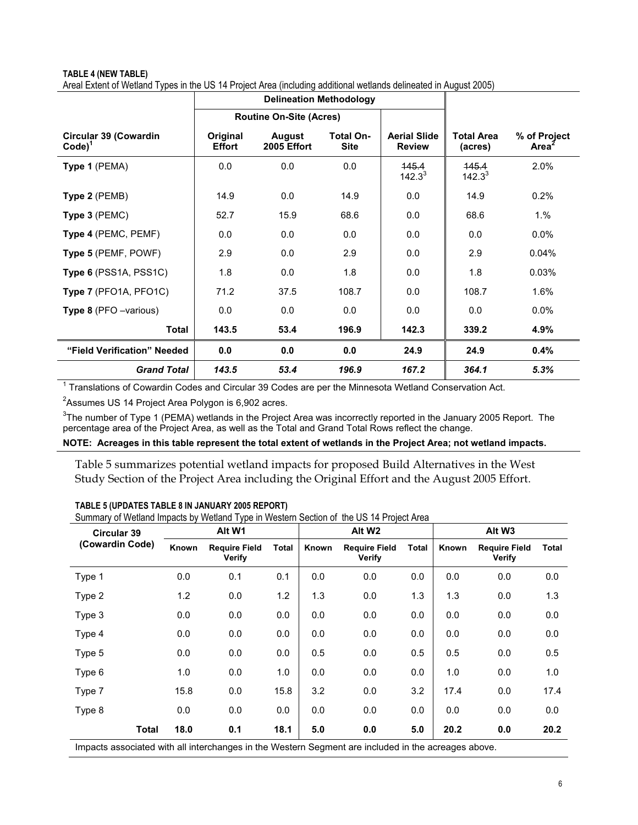# **TABLE 4 (NEW TABLE)**  Areal Extent of Wetland Types in the US 14 Project Area (including additional wetlands delineated in August 2005)

|                                                      |                           | <b>Delineation Methodology</b> |                          |                                      |                       |                       |
|------------------------------------------------------|---------------------------|--------------------------------|--------------------------|--------------------------------------|-----------------------|-----------------------|
|                                                      |                           | <b>Routine On-Site (Acres)</b> |                          |                                      |                       |                       |
| <b>Circular 39 (Cowardin</b><br>$Code)$ <sup>1</sup> | Original<br><b>Effort</b> | August<br>2005 Effort          | Total On-<br><b>Site</b> | <b>Aerial Slide</b><br><b>Review</b> | Total Area<br>(acres) | % of Project<br>Area' |
| Type 1 (PEMA)                                        | 0.0                       | 0.0                            | 0.0                      | 145.4<br>$142.3^{3}$                 | 145.4<br>$142.3^{3}$  | 2.0%                  |
| Type 2 (PEMB)                                        | 14.9                      | 0.0                            | 14.9                     | 0.0                                  | 14.9                  | 0.2%                  |
| Type 3 (PEMC)                                        | 52.7                      | 15.9                           | 68.6                     | 0.0                                  | 68.6                  | 1.%                   |
| Type 4 (PEMC, PEMF)                                  | 0.0                       | 0.0                            | 0.0                      | 0.0                                  | 0.0                   | 0.0%                  |
| Type 5 (PEMF, POWF)                                  | 2.9                       | 0.0                            | 2.9                      | 0.0                                  | 2.9                   | 0.04%                 |
| Type 6 (PSS1A, PSS1C)                                | 1.8                       | 0.0                            | 1.8                      | 0.0                                  | 1.8                   | 0.03%                 |
| Type 7 (PFO1A, PFO1C)                                | 71.2                      | 37.5                           | 108.7                    | 0.0                                  | 108.7                 | 1.6%                  |
| <b>Type 8</b> (PFO -various)                         | 0.0                       | 0.0                            | 0.0                      | 0.0                                  | 0.0                   | 0.0%                  |
| <b>Total</b>                                         | 143.5                     | 53.4                           | 196.9                    | 142.3                                | 339.2                 | 4.9%                  |
| "Field Verification" Needed                          | 0.0                       | 0.0                            | 0.0                      | 24.9                                 | 24.9                  | 0.4%                  |
| <b>Grand Total</b>                                   | 143.5                     | 53.4                           | 196.9                    | 167.2                                | 364.1                 | 5.3%                  |

 $1$  Translations of Cowardin Codes and Circular 39 Codes are per the Minnesota Wetland Conservation Act.

 $^{2}$ Assumes US 14 Project Area Polygon is 6,902 acres.

 $^3$ The number of Type 1 (PEMA) wetlands in the Project Area was incorrectly reported in the January 2005 Report. The percentage area of the Project Area, as well as the Total and Grand Total Rows reflect the change.

### **NOTE: Acreages in this table represent the total extent of wetlands in the Project Area; not wetland impacts.**

Table 5 summarizes potential wetland impacts for proposed Build Alternatives in the West Study Section of the Project Area including the Original Effort and the August 2005 Effort.

| <b>Circular 39</b> |       | Alt W1                         |       | Alt W <sub>2</sub> |                                |       | Alt W <sub>3</sub> |                                |       |
|--------------------|-------|--------------------------------|-------|--------------------|--------------------------------|-------|--------------------|--------------------------------|-------|
| (Cowardin Code)    | Known | <b>Require Field</b><br>Verify | Total | Known              | <b>Require Field</b><br>Verify | Total | Known              | <b>Require Field</b><br>Verify | Total |
| Type 1             | 0.0   | 0.1                            | 0.1   | 0.0                | 0.0                            | 0.0   | 0.0                | 0.0                            | 0.0   |
| Type 2             | 1.2   | 0.0                            | 1.2   | 1.3                | 0.0                            | 1.3   | 1.3                | 0.0                            | 1.3   |
| Type 3             | 0.0   | 0.0                            | 0.0   | 0.0                | 0.0                            | 0.0   | 0.0                | 0.0                            | 0.0   |
| Type 4             | 0.0   | 0.0                            | 0.0   | 0.0                | 0.0                            | 0.0   | 0.0                | 0.0                            | 0.0   |
| Type 5             | 0.0   | 0.0                            | 0.0   | 0.5                | 0.0                            | 0.5   | 0.5                | 0.0                            | 0.5   |
| Type 6             | 1.0   | 0.0                            | 1.0   | 0.0                | 0.0                            | 0.0   | 1.0                | 0.0                            | 1.0   |
| Type 7             | 15.8  | 0.0                            | 15.8  | 3.2                | 0.0                            | 3.2   | 17.4               | 0.0                            | 17.4  |
| Type 8             | 0.0   | 0.0                            | 0.0   | 0.0                | 0.0                            | 0.0   | 0.0                | 0.0                            | 0.0   |
| <b>Total</b>       | 18.0  | 0.1                            | 18.1  | 5.0                | 0.0                            | 5.0   | 20.2               | 0.0                            | 20.2  |

#### **TABLE 5 (UPDATES TABLE 8 IN JANUARY 2005 REPORT)**

Summary of Wetland Impacts by Wetland Type in Western Section of the US 14 Project Area

Impacts associated with all interchanges in the Western Segment are included in the acreages above.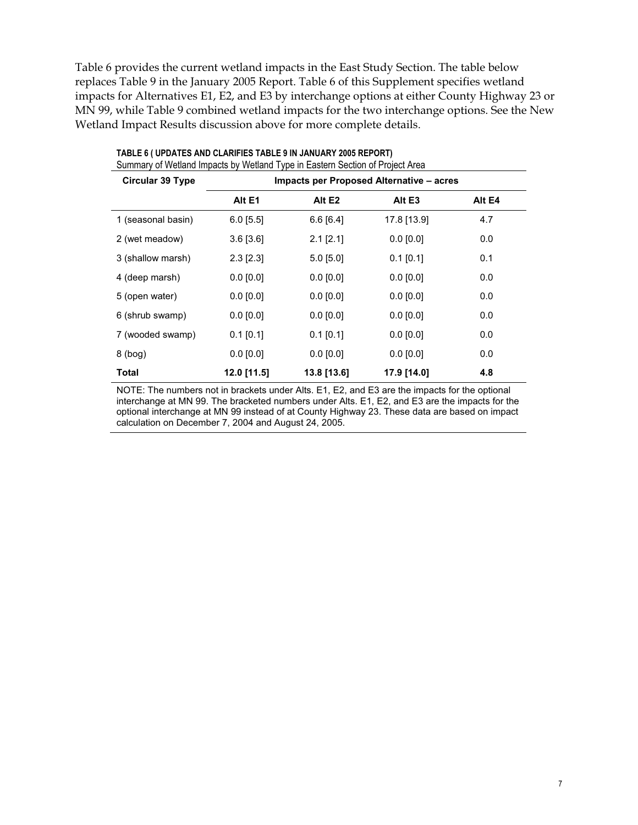Table 6 provides the current wetland impacts in the East Study Section. The table below replaces Table 9 in the January 2005 Report. Table 6 of this Supplement specifies wetland impacts for Alternatives E1, E2, and E3 by interchange options at either County Highway 23 or MN 99, while Table 9 combined wetland impacts for the two interchange options. See the New Wetland Impact Results discussion above for more complete details.

| <b>Circular 39 Type</b> | <b>Impacts per Proposed Alternative – acres</b> |                 |               |        |
|-------------------------|-------------------------------------------------|-----------------|---------------|--------|
|                         | Alt E1                                          | Alt E2          | Alt E3        | Alt E4 |
| 1 (seasonal basin)      | $6.0$ [5.5]                                     | $6.6$ [6.4]     | 17.8 [13.9]   | 4.7    |
| 2 (wet meadow)          | $3.6$ [ $3.6$ ]                                 | $2.1$ [ $2.1$ ] | $0.0$ [0.0]   | 0.0    |
| 3 (shallow marsh)       | $2.3$ [ $2.3$ ]                                 | $5.0$ [5.0]     | $0.1$ [0.1]   | 0.1    |
| 4 (deep marsh)          | $0.0$ [0.0]                                     | $0.0$ [0.0]     | $0.0$ [0.0]   | 0.0    |
| 5 (open water)          | $0.0$ $[0.0]$                                   | $0.0$ [0.0]     | $0.0$ [0.0]   | 0.0    |
| 6 (shrub swamp)         | $0.0$ [0.0]                                     | $0.0$ [0.0]     | $0.0$ [0.0]   | 0.0    |
| 7 (wooded swamp)        | $0.1$ [0.1]                                     | $0.1$ [0.1]     | $0.0$ $[0.0]$ | 0.0    |
| $8$ (bog)               | $0.0$ [0.0]                                     | $0.0$ [0.0]     | $0.0$ [0.0]   | 0.0    |
| <b>Total</b>            | 12.0 [11.5]                                     | 13.8 [13.6]     | 17.9 [14.0]   | 4.8    |

| TABLE 6 ( UPDATES AND CLARIFIES TABLE 9 IN JANUARY 2005 REPORT)               |  |
|-------------------------------------------------------------------------------|--|
| Summary of Wetland Impacts by Wetland Type in Eastern Section of Project Area |  |

NOTE: The numbers not in brackets under Alts. E1, E2, and E3 are the impacts for the optional interchange at MN 99. The bracketed numbers under Alts. E1, E2, and E3 are the impacts for the optional interchange at MN 99 instead of at County Highway 23. These data are based on impact calculation on December 7, 2004 and August 24, 2005.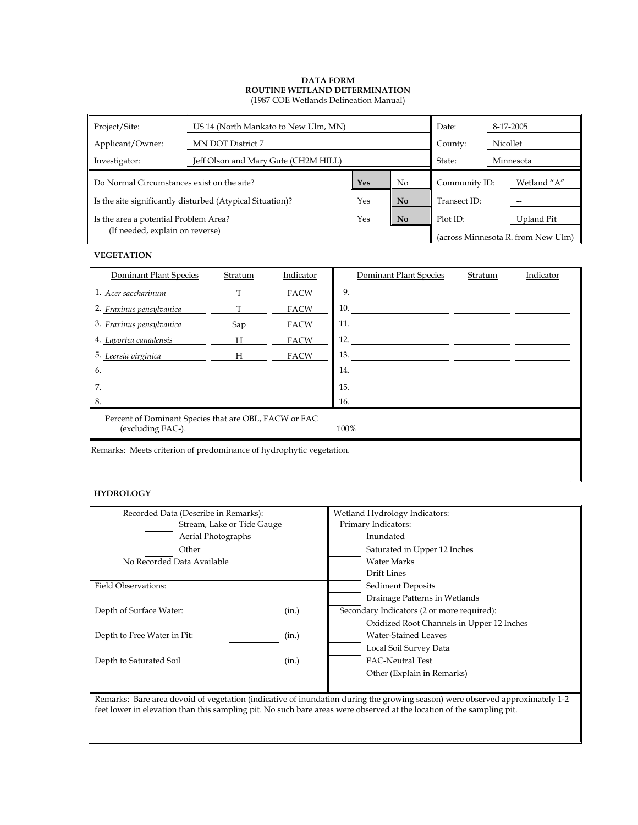| Project/Site:                                             | US 14 (North Mankato to New Ulm, MN) | Date:   |                | 8-17-2005     |  |                                    |
|-----------------------------------------------------------|--------------------------------------|---------|----------------|---------------|--|------------------------------------|
| Applicant/Owner:                                          | MN DOT District 7                    | County: | Nicollet       |               |  |                                    |
| Investigator:                                             | Jeff Olson and Mary Gute (CH2M HILL) | State:  | Minnesota      |               |  |                                    |
| Do Normal Circumstances exist on the site?                |                                      |         | N <sub>o</sub> | Community ID: |  | Wetland "A"                        |
| Is the site significantly disturbed (Atypical Situation)? |                                      | Yes     | N <sub>o</sub> | Transect ID:  |  |                                    |
| Is the area a potential Problem Area?                     |                                      |         | <b>No</b>      | Plot ID:      |  | Upland Pit                         |
| (If needed, explain on reverse)                           |                                      |         |                |               |  | (across Minnesota R. from New Ulm) |

#### **VEGETATION**

| Dominant Plant Species                                                             | Stratum | Indicator   | Dominant Plant Species | Stratum | Indicator |  |  |  |  |
|------------------------------------------------------------------------------------|---------|-------------|------------------------|---------|-----------|--|--|--|--|
| 1. Acer saccharinum                                                                | T       | FACW        | 9.                     |         |           |  |  |  |  |
| 2. Fraxinus pensylvanica                                                           | T.      | FACW        | 10.                    |         |           |  |  |  |  |
| 3. Fraxinus pensylvanica                                                           | Sap     | FACW        | 11.                    |         |           |  |  |  |  |
| 4. Laportea canadensis                                                             | H       | FACW        | 12.                    |         |           |  |  |  |  |
| 5. Leersia virginica                                                               | H       | <b>FACW</b> | 13.                    |         |           |  |  |  |  |
| 6.                                                                                 |         |             | 14.                    |         |           |  |  |  |  |
| 7.                                                                                 |         |             | 15.                    |         |           |  |  |  |  |
| 8.                                                                                 |         |             | 16.                    |         |           |  |  |  |  |
| Percent of Dominant Species that are OBL, FACW or FAC<br>(excluding FAC-).<br>100% |         |             |                        |         |           |  |  |  |  |
| Remarks: Meets criterion of predominance of hydrophytic vegetation.                |         |             |                        |         |           |  |  |  |  |

#### **HYDROLOGY**

| Recorded Data (Describe in Remarks): |       | Wetland Hydrology Indicators:                                                                                                                                                                                                  |  |  |
|--------------------------------------|-------|--------------------------------------------------------------------------------------------------------------------------------------------------------------------------------------------------------------------------------|--|--|
| Stream, Lake or Tide Gauge           |       | Primary Indicators:                                                                                                                                                                                                            |  |  |
| Aerial Photographs                   |       | Inundated                                                                                                                                                                                                                      |  |  |
| Other                                |       | Saturated in Upper 12 Inches                                                                                                                                                                                                   |  |  |
| No Recorded Data Available           |       | <b>Water Marks</b>                                                                                                                                                                                                             |  |  |
|                                      |       | Drift Lines                                                                                                                                                                                                                    |  |  |
| <b>Field Observations:</b>           |       | <b>Sediment Deposits</b>                                                                                                                                                                                                       |  |  |
|                                      |       | Drainage Patterns in Wetlands                                                                                                                                                                                                  |  |  |
| Depth of Surface Water:              | (in.) | Secondary Indicators (2 or more required):                                                                                                                                                                                     |  |  |
|                                      |       | Oxidized Root Channels in Upper 12 Inches                                                                                                                                                                                      |  |  |
| Depth to Free Water in Pit:          | (in.) | <b>Water-Stained Leaves</b>                                                                                                                                                                                                    |  |  |
|                                      |       | Local Soil Survey Data                                                                                                                                                                                                         |  |  |
| Depth to Saturated Soil              | (in.) | <b>FAC-Neutral Test</b>                                                                                                                                                                                                        |  |  |
|                                      |       | Other (Explain in Remarks)                                                                                                                                                                                                     |  |  |
|                                      |       |                                                                                                                                                                                                                                |  |  |
|                                      |       | Demonder Densons denside faces religion (in discrime of incordering decomparison and construction of the final definition of the final department of the final definition of the final definition of the final department of t |  |  |

Remarks: Bare area devoid of vegetation (indicative of inundation during the growing season) were observed approximately 1-2 feet lower in elevation than this sampling pit. No such bare areas were observed at the location of the sampling pit.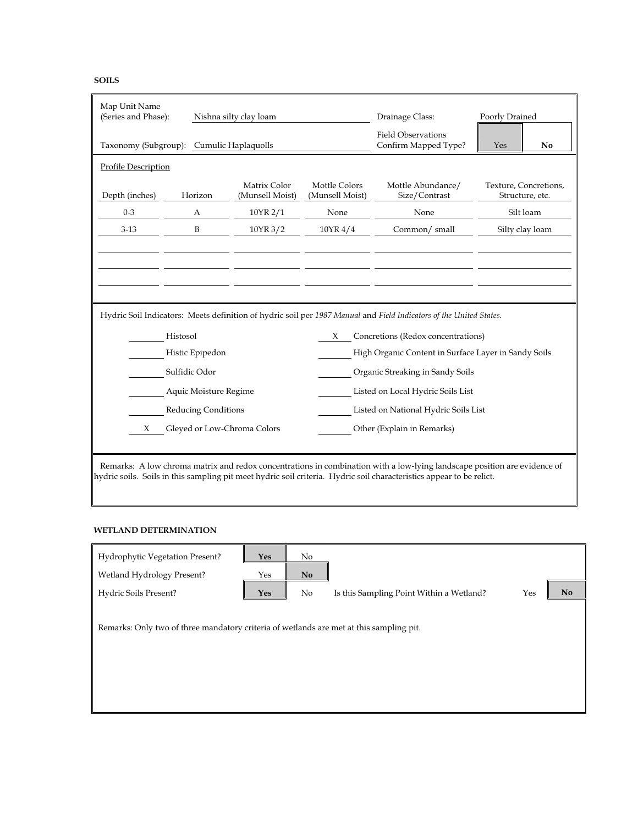| Map Unit Name<br>(Series and Phase): |                                          | Nishna silty clay loam          |                                                   | Drainage Class:                                                                                                          | Poorly Drained                           |
|--------------------------------------|------------------------------------------|---------------------------------|---------------------------------------------------|--------------------------------------------------------------------------------------------------------------------------|------------------------------------------|
|                                      | Taxonomy (Subgroup): Cumulic Haplaquolls |                                 | <b>Field Observations</b><br>Confirm Mapped Type? | Yes<br>No                                                                                                                |                                          |
| <b>Profile Description</b>           |                                          |                                 |                                                   |                                                                                                                          |                                          |
| Depth (inches)                       | Horizon                                  | Matrix Color<br>(Munsell Moist) | Mottle Colors<br>(Munsell Moist)                  | Mottle Abundance/<br>Size/Contrast                                                                                       | Texture, Concretions,<br>Structure, etc. |
| $0 - 3$                              | A                                        | 10YR 2/1                        | None                                              | None                                                                                                                     | Silt loam                                |
| $3-13$                               | B                                        | 10YR 3/2                        | 10YR 4/4                                          | Common/small                                                                                                             | Silty clay loam                          |
|                                      |                                          |                                 |                                                   |                                                                                                                          |                                          |
|                                      |                                          |                                 |                                                   |                                                                                                                          |                                          |
|                                      |                                          |                                 |                                                   |                                                                                                                          |                                          |
|                                      |                                          |                                 |                                                   |                                                                                                                          |                                          |
|                                      |                                          |                                 |                                                   | Hydric Soil Indicators: Meets definition of hydric soil per 1987 Manual and Field Indicators of the United States.       |                                          |
|                                      | Histosol                                 |                                 | X                                                 | Concretions (Redox concentrations)                                                                                       |                                          |
|                                      | Histic Epipedon                          |                                 |                                                   | High Organic Content in Surface Layer in Sandy Soils                                                                     |                                          |
|                                      | Sulfidic Odor                            |                                 |                                                   | Organic Streaking in Sandy Soils                                                                                         |                                          |
|                                      | Aquic Moisture Regime                    |                                 |                                                   | Listed on Local Hydric Soils List                                                                                        |                                          |
|                                      | Reducing Conditions                      |                                 |                                                   | Listed on National Hydric Soils List                                                                                     |                                          |
| X                                    | Gleyed or Low-Chroma Colors              |                                 |                                                   | Other (Explain in Remarks)                                                                                               |                                          |
|                                      |                                          |                                 |                                                   |                                                                                                                          |                                          |
|                                      |                                          |                                 |                                                   | Remarks: A low chroma matrix and redox concentrations in combination with a low-lying landscape position are evidence of |                                          |
|                                      |                                          |                                 |                                                   | hydric soils. Soils in this sampling pit meet hydric soil criteria. Hydric soil characteristics appear to be relict.     |                                          |

### **WETLAND DETERMINATION**

| Hydrophytic Vegetation Present?<br>Wetland Hydrology Present?<br>Hydric Soils Present?  | Yes<br>Yes<br>Yes | No<br><b>No</b><br>No | Is this Sampling Point Within a Wetland? | Yes | No |
|-----------------------------------------------------------------------------------------|-------------------|-----------------------|------------------------------------------|-----|----|
| Remarks: Only two of three mandatory criteria of wetlands are met at this sampling pit. |                   |                       |                                          |     |    |
|                                                                                         |                   |                       |                                          |     |    |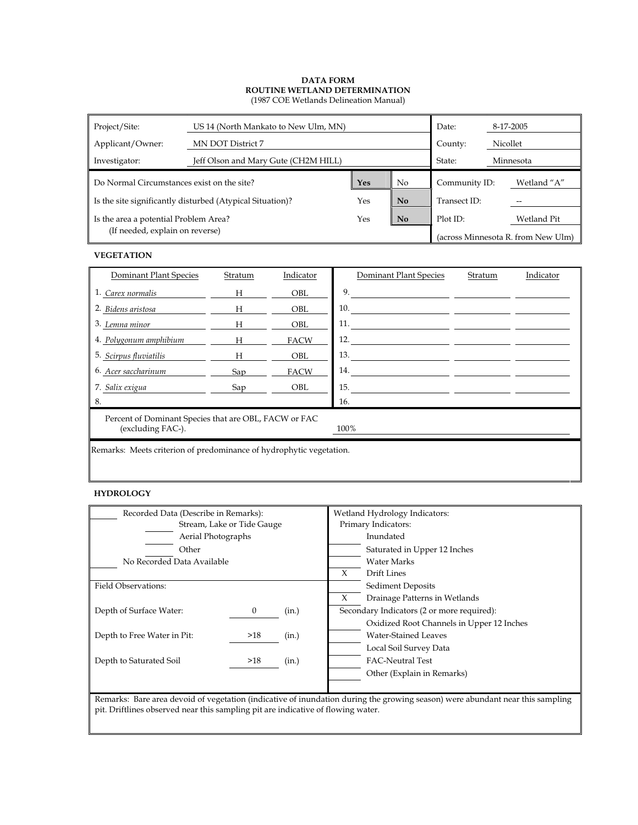| Project/Site:                              | US 14 (North Mankato to New Ulm, MN)                      |        |                | Date:         |          | 8-17-2005                          |
|--------------------------------------------|-----------------------------------------------------------|--------|----------------|---------------|----------|------------------------------------|
| Applicant/Owner:                           | MN DOT District 7                                         |        |                | County:       | Nicollet |                                    |
| Investigator:                              | Jeff Olson and Mary Gute (CH2M HILL)                      | State: |                | Minnesota     |          |                                    |
| Do Normal Circumstances exist on the site? |                                                           |        | N <sub>o</sub> | Community ID: |          | Wetland "A"                        |
|                                            | Is the site significantly disturbed (Atypical Situation)? | Yes    | N <sub>o</sub> | Transect ID:  |          |                                    |
| Is the area a potential Problem Area?      |                                                           |        | <b>No</b>      | Plot ID:      |          | Wetland Pit                        |
| (If needed, explain on reverse)            |                                                           |        |                |               |          | (across Minnesota R. from New Ulm) |

#### **VEGETATION**

| Dominant Plant Species                                                             | Stratum | Indicator   | Dominant Plant Species | Stratum | Indicator |  |  |  |
|------------------------------------------------------------------------------------|---------|-------------|------------------------|---------|-----------|--|--|--|
| 1. Carex normalis                                                                  | H       | <b>OBL</b>  | 9.                     |         |           |  |  |  |
| 2. Bidens aristosa                                                                 | H       | <b>OBL</b>  | 10.                    |         |           |  |  |  |
| 3. Lemna minor                                                                     | H       | <b>OBL</b>  | 11.                    |         |           |  |  |  |
| 4. Polygonum amphibium                                                             | H       | <b>FACW</b> | 12.                    |         |           |  |  |  |
| 5. Scirpus fluviatilis                                                             | H       | <b>OBL</b>  | 13.                    |         |           |  |  |  |
| 6. Acer saccharinum                                                                | Sap     | <b>FACW</b> | 14.                    |         |           |  |  |  |
| 7. Salix exigua                                                                    | Sap     | <b>OBL</b>  | 15.                    |         |           |  |  |  |
| 8.                                                                                 |         |             | 16.                    |         |           |  |  |  |
| Percent of Dominant Species that are OBL, FACW or FAC<br>(excluding FAC-).<br>100% |         |             |                        |         |           |  |  |  |
| Remarks: Meets criterion of predominance of hydrophytic vegetation.                |         |             |                        |         |           |  |  |  |

#### **HYDROLOGY**

| Recorded Data (Describe in Remarks): |          |       | Wetland Hydrology Indicators: |                                            |  |  |
|--------------------------------------|----------|-------|-------------------------------|--------------------------------------------|--|--|
| Stream, Lake or Tide Gauge           |          |       |                               | Primary Indicators:                        |  |  |
| <b>Aerial Photographs</b>            |          |       |                               | Inundated                                  |  |  |
| Other                                |          |       |                               | Saturated in Upper 12 Inches               |  |  |
| No Recorded Data Available           |          |       |                               | Water Marks                                |  |  |
|                                      |          |       | X                             | Drift Lines                                |  |  |
| Field Observations:                  |          |       | <b>Sediment Deposits</b>      |                                            |  |  |
|                                      |          |       |                               | Drainage Patterns in Wetlands              |  |  |
| Depth of Surface Water:              | $\bf{0}$ | (in.) |                               | Secondary Indicators (2 or more required): |  |  |
|                                      |          |       |                               | Oxidized Root Channels in Upper 12 Inches  |  |  |
| Depth to Free Water in Pit:          | >18      | (in.) |                               | Water-Stained Leaves                       |  |  |
|                                      |          |       |                               | Local Soil Survey Data                     |  |  |
| Depth to Saturated Soil              | >18      | (in.) |                               | <b>FAC-Neutral Test</b>                    |  |  |
|                                      |          |       |                               | Other (Explain in Remarks)                 |  |  |
|                                      |          |       |                               |                                            |  |  |

Remarks: Bare area devoid of vegetation (indicative of inundation during the growing season) were abundant near this sampling pit. Driftlines observed near this sampling pit are indicative of flowing water.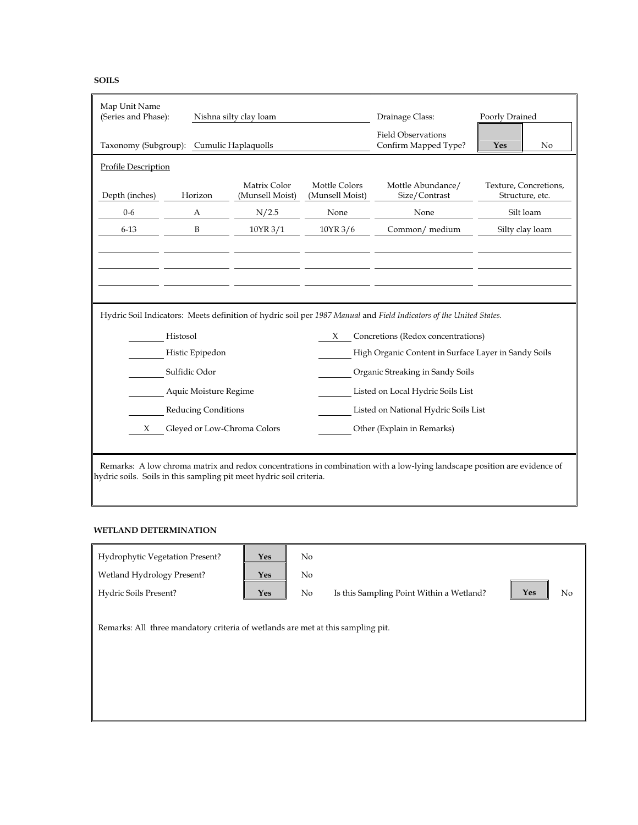| Map Unit Name<br>(Series and Phase): |                                          | Nishna silty clay loam                                              |                                                   | Drainage Class:                                                                                                          | Poorly Drained                           |  |  |
|--------------------------------------|------------------------------------------|---------------------------------------------------------------------|---------------------------------------------------|--------------------------------------------------------------------------------------------------------------------------|------------------------------------------|--|--|
|                                      | Taxonomy (Subgroup): Cumulic Haplaquolls |                                                                     | <b>Field Observations</b><br>Confirm Mapped Type? | No<br>Yes                                                                                                                |                                          |  |  |
| <b>Profile Description</b>           |                                          |                                                                     |                                                   |                                                                                                                          |                                          |  |  |
| Depth (inches)                       | Horizon                                  | Matrix Color<br>(Munsell Moist)                                     | Mottle Colors<br>(Munsell Moist)                  | Mottle Abundance/<br>Size/Contrast                                                                                       | Texture, Concretions,<br>Structure, etc. |  |  |
| $0 - 6$                              | A                                        | N/2.5                                                               | None                                              | None                                                                                                                     | Silt loam                                |  |  |
| $6 - 13$                             | B                                        | 10YR 3/1                                                            | 10YR 3/6                                          | Common/ medium                                                                                                           | Silty clay loam                          |  |  |
|                                      |                                          |                                                                     |                                                   |                                                                                                                          |                                          |  |  |
|                                      |                                          |                                                                     |                                                   |                                                                                                                          |                                          |  |  |
|                                      |                                          |                                                                     |                                                   |                                                                                                                          |                                          |  |  |
|                                      |                                          |                                                                     |                                                   |                                                                                                                          |                                          |  |  |
|                                      |                                          |                                                                     |                                                   | Hydric Soil Indicators: Meets definition of hydric soil per 1987 Manual and Field Indicators of the United States.       |                                          |  |  |
|                                      | Histosol                                 |                                                                     | X                                                 | Concretions (Redox concentrations)                                                                                       |                                          |  |  |
|                                      | Histic Epipedon                          |                                                                     |                                                   | High Organic Content in Surface Layer in Sandy Soils                                                                     |                                          |  |  |
|                                      | Sulfidic Odor                            |                                                                     |                                                   | Organic Streaking in Sandy Soils                                                                                         |                                          |  |  |
|                                      | Aquic Moisture Regime                    |                                                                     |                                                   | Listed on Local Hydric Soils List                                                                                        |                                          |  |  |
|                                      | Reducing Conditions                      |                                                                     |                                                   | Listed on National Hydric Soils List                                                                                     |                                          |  |  |
| Gleyed or Low-Chroma Colors          |                                          |                                                                     |                                                   |                                                                                                                          |                                          |  |  |
| X                                    |                                          |                                                                     |                                                   | Other (Explain in Remarks)                                                                                               |                                          |  |  |
|                                      |                                          |                                                                     |                                                   |                                                                                                                          |                                          |  |  |
|                                      |                                          | hydric soils. Soils in this sampling pit meet hydric soil criteria. |                                                   | Remarks: A low chroma matrix and redox concentrations in combination with a low-lying landscape position are evidence of |                                          |  |  |

### **WETLAND DETERMINATION**

| Hydrophytic Vegetation Present?<br>Wetland Hydrology Present?<br>Hydric Soils Present? | Yes<br><b>Yes</b><br>Yes | No<br>N <sub>o</sub><br>No | Is this Sampling Point Within a Wetland? | Yes | No |
|----------------------------------------------------------------------------------------|--------------------------|----------------------------|------------------------------------------|-----|----|
| Remarks: All three mandatory criteria of wetlands are met at this sampling pit.        |                          |                            |                                          |     |    |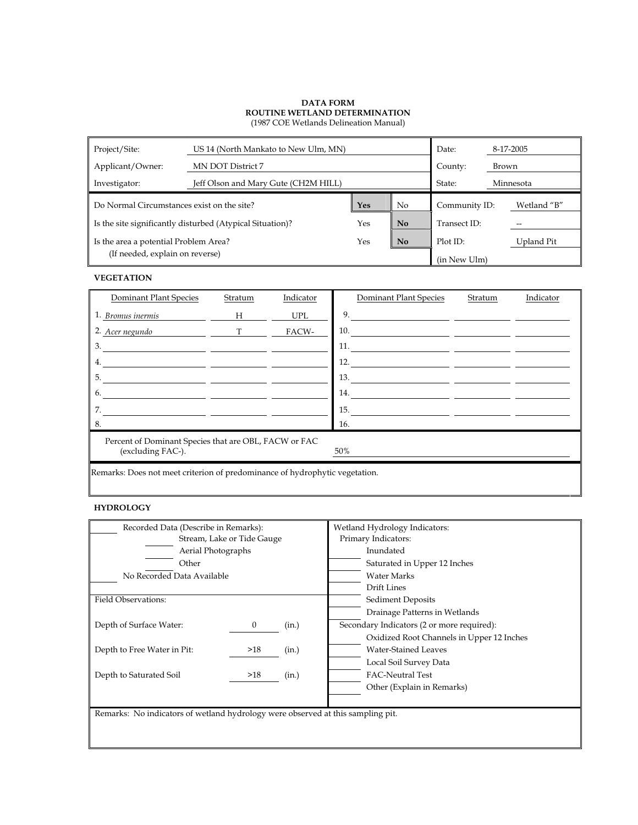| Project/Site:<br>US 14 (North Mankato to New Ulm, MN) |                                                           |     |                | Date:         |       | 8-17-2005   |
|-------------------------------------------------------|-----------------------------------------------------------|-----|----------------|---------------|-------|-------------|
| Applicant/Owner:                                      | MN DOT District 7                                         |     |                | County:       | Brown |             |
| Investigator:                                         | Jeff Olson and Mary Gute (CH2M HILL)                      |     |                | State:        |       | Minnesota   |
| Do Normal Circumstances exist on the site?            |                                                           |     | N <sub>o</sub> | Community ID: |       | Wetland "B" |
|                                                       | Is the site significantly disturbed (Atypical Situation)? | Yes | N <sub>o</sub> | Transect ID:  |       |             |
| Is the area a potential Problem Area?                 |                                                           |     | No             | Plot ID:      |       | Upland Pit  |
| (If needed, explain on reverse)                       |                                                           |     |                | (in New Ulm)  |       |             |

## **VEGETATION**

| Dominant Plant Species                                                            | Stratum     | Indicator | Dominant Plant Species                                                                                                                                                                                                              | Stratum | Indicator |  |  |  |
|-----------------------------------------------------------------------------------|-------------|-----------|-------------------------------------------------------------------------------------------------------------------------------------------------------------------------------------------------------------------------------------|---------|-----------|--|--|--|
| 1. Bromus inermis                                                                 | H           | UPL       | 9.                                                                                                                                                                                                                                  |         |           |  |  |  |
| 2. Acer negundo                                                                   | $\mathbf T$ | FACW-     | 10.                                                                                                                                                                                                                                 |         |           |  |  |  |
| 3.                                                                                |             |           | 11. $\qquad \qquad$                                                                                                                                                                                                                 |         |           |  |  |  |
| 4.                                                                                |             |           | <b>12.</b> The contract of the contract of the contract of the contract of the contract of the contract of the contract of the contract of the contract of the contract of the contract of the contract of the contract of the cont |         |           |  |  |  |
| 5.                                                                                |             |           | 13.                                                                                                                                                                                                                                 |         |           |  |  |  |
| 6.                                                                                |             |           | 14.                                                                                                                                                                                                                                 |         |           |  |  |  |
| 7.                                                                                |             |           | 15.                                                                                                                                                                                                                                 |         |           |  |  |  |
| 8.                                                                                |             |           | 16.                                                                                                                                                                                                                                 |         |           |  |  |  |
| Percent of Dominant Species that are OBL, FACW or FAC<br>(excluding FAC-).<br>50% |             |           |                                                                                                                                                                                                                                     |         |           |  |  |  |
| Remarks: Does not meet criterion of predominance of hydrophytic vegetation.       |             |           |                                                                                                                                                                                                                                     |         |           |  |  |  |

## **HYDROLOGY**

| Recorded Data (Describe in Remarks):                                            |                            |       | Wetland Hydrology Indicators:              |  |  |
|---------------------------------------------------------------------------------|----------------------------|-------|--------------------------------------------|--|--|
|                                                                                 | Stream, Lake or Tide Gauge |       | Primary Indicators:                        |  |  |
| Aerial Photographs                                                              |                            |       | Inundated                                  |  |  |
| Other                                                                           |                            |       | Saturated in Upper 12 Inches               |  |  |
| No Recorded Data Available                                                      |                            |       | <b>Water Marks</b>                         |  |  |
|                                                                                 |                            |       | <b>Drift Lines</b>                         |  |  |
| Field Observations:                                                             |                            |       | Sediment Deposits                          |  |  |
|                                                                                 |                            |       | Drainage Patterns in Wetlands              |  |  |
| Depth of Surface Water:                                                         | 0                          | (in.) | Secondary Indicators (2 or more required): |  |  |
|                                                                                 |                            |       | Oxidized Root Channels in Upper 12 Inches  |  |  |
| Depth to Free Water in Pit:                                                     | >18                        | (in.) | <b>Water-Stained Leaves</b>                |  |  |
|                                                                                 |                            |       | Local Soil Survey Data                     |  |  |
| Depth to Saturated Soil                                                         | >18                        | (in.) | <b>FAC-Neutral Test</b>                    |  |  |
|                                                                                 |                            |       | Other (Explain in Remarks)                 |  |  |
|                                                                                 |                            |       |                                            |  |  |
| Remarks: No indicators of wetland hydrology were observed at this sampling pit. |                            |       |                                            |  |  |
|                                                                                 |                            |       |                                            |  |  |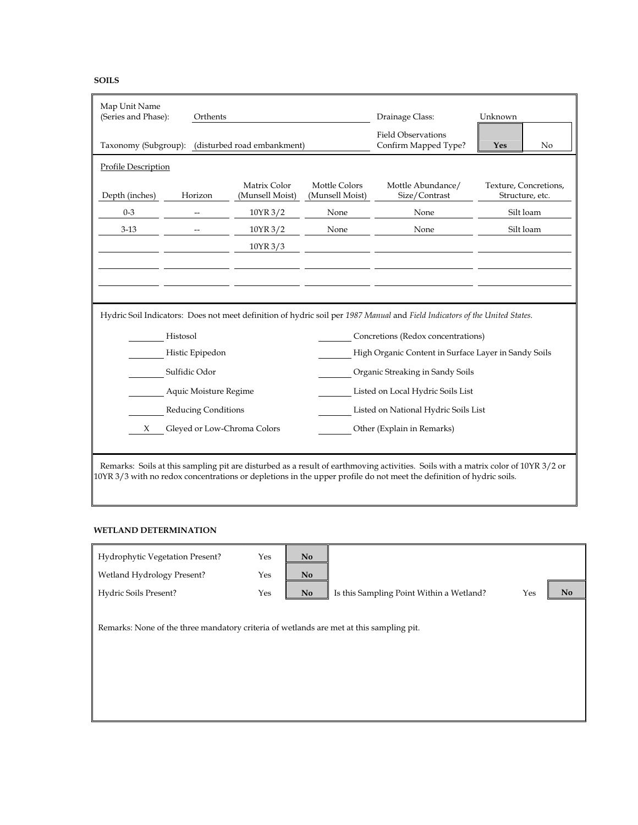| Map Unit Name<br>(Series and Phase): | Orthents                   |                                                  |                                                   | Drainage Class:                                                                                                                   | Unknown                                  |
|--------------------------------------|----------------------------|--------------------------------------------------|---------------------------------------------------|-----------------------------------------------------------------------------------------------------------------------------------|------------------------------------------|
|                                      |                            | Taxonomy (Subgroup): (disturbed road embankment) | <b>Field Observations</b><br>Confirm Mapped Type? | No<br>Yes                                                                                                                         |                                          |
| <b>Profile Description</b>           |                            |                                                  |                                                   |                                                                                                                                   |                                          |
| Depth (inches)                       | Horizon                    | Matrix Color<br>(Munsell Moist)                  | Mottle Colors<br>(Munsell Moist)                  | Mottle Abundance/<br>Size/Contrast                                                                                                | Texture, Concretions,<br>Structure, etc. |
| $0 - 3$                              |                            | 10YR 3/2                                         | None                                              | None                                                                                                                              | Silt loam                                |
| $3-13$                               |                            | 10YR 3/2                                         | None                                              | None                                                                                                                              | Silt loam                                |
|                                      |                            | 10YR 3/3                                         |                                                   |                                                                                                                                   |                                          |
|                                      |                            |                                                  |                                                   |                                                                                                                                   |                                          |
|                                      |                            |                                                  |                                                   |                                                                                                                                   |                                          |
|                                      |                            |                                                  |                                                   |                                                                                                                                   |                                          |
|                                      |                            |                                                  |                                                   | Hydric Soil Indicators: Does not meet definition of hydric soil per 1987 Manual and Field Indicators of the United States.        |                                          |
|                                      | Histosol                   |                                                  |                                                   | Concretions (Redox concentrations)                                                                                                |                                          |
|                                      | Histic Epipedon            |                                                  |                                                   | High Organic Content in Surface Layer in Sandy Soils                                                                              |                                          |
|                                      | Sulfidic Odor              |                                                  |                                                   | Organic Streaking in Sandy Soils                                                                                                  |                                          |
|                                      | Aquic Moisture Regime      |                                                  |                                                   | Listed on Local Hydric Soils List                                                                                                 |                                          |
|                                      | <b>Reducing Conditions</b> |                                                  |                                                   | Listed on National Hydric Soils List                                                                                              |                                          |
| Gleyed or Low-Chroma Colors<br>X     |                            |                                                  | Other (Explain in Remarks)                        |                                                                                                                                   |                                          |
|                                      |                            |                                                  |                                                   |                                                                                                                                   |                                          |
|                                      |                            |                                                  |                                                   | Remarks: Soils at this sampling pit are disturbed as a result of earthmoving activities. Soils with a matrix color of 10YR 3/2 or |                                          |
|                                      |                            |                                                  |                                                   | $10YR$ 3/3 with no redox concentrations or depletions in the upper profile do not meet the definition of hydric soils.            |                                          |

#### **WETLAND DETERMINATION**

| Hydrophytic Vegetation Present?                                                         | Yes | No |                                          |     |     |
|-----------------------------------------------------------------------------------------|-----|----|------------------------------------------|-----|-----|
| Wetland Hydrology Present?                                                              | Yes | No |                                          |     |     |
| Hydric Soils Present?                                                                   | Yes | No | Is this Sampling Point Within a Wetland? | Yes | No. |
| Remarks: None of the three mandatory criteria of wetlands are met at this sampling pit. |     |    |                                          |     |     |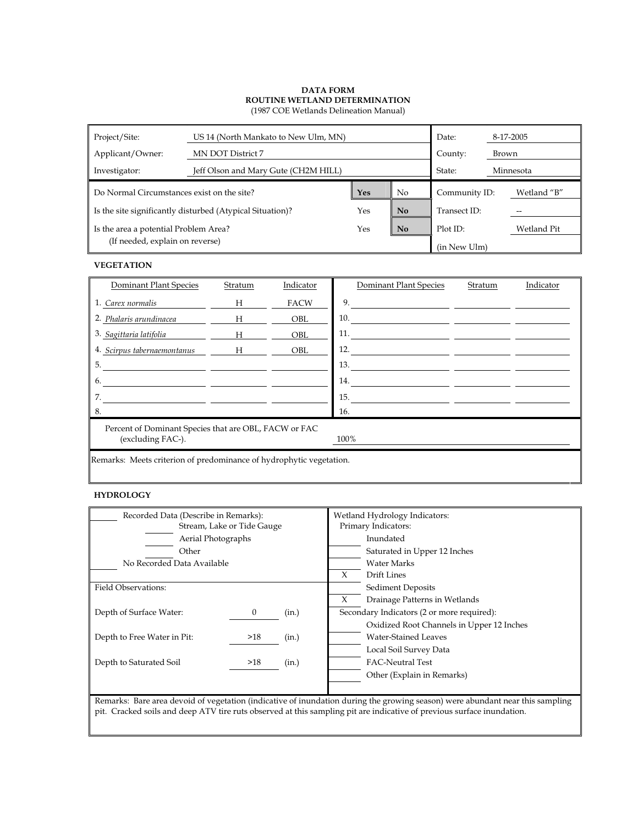| Project/Site:<br>US 14 (North Mankato to New Ulm, MN)<br>Date: |                                      |  |                |               | 8-17-2005   |  |
|----------------------------------------------------------------|--------------------------------------|--|----------------|---------------|-------------|--|
| Applicant/Owner:                                               | MN DOT District 7                    |  |                | County:       | Brown       |  |
| Investigator:                                                  | Jeff Olson and Mary Gute (CH2M HILL) |  |                | State:        | Minnesota   |  |
| Do Normal Circumstances exist on the site?                     |                                      |  | N <sub>o</sub> | Community ID: | Wetland "B" |  |
| Is the site significantly disturbed (Atypical Situation)?      |                                      |  | N <sub>0</sub> | Transect ID:  |             |  |
| Is the area a potential Problem Area?                          |                                      |  | <b>No</b>      | Plot ID:      | Wetland Pit |  |
| (If needed, explain on reverse)                                |                                      |  |                | (in New Ulm)  |             |  |

#### **VEGETATION**

| Dominant Plant Species                                                             | Stratum | Indicator   | Dominant Plant Species | Stratum | Indicator |  |  |  |
|------------------------------------------------------------------------------------|---------|-------------|------------------------|---------|-----------|--|--|--|
| 1. Carex normalis                                                                  | H       | <b>FACW</b> | 9.                     |         |           |  |  |  |
| 2. Phalaris arundinacea                                                            | H       | <b>OBL</b>  | 10.                    |         |           |  |  |  |
| 3. Sagittaria latifolia                                                            | H       | <b>OBL</b>  | 11.                    |         |           |  |  |  |
| 4. Scirpus tabernaemontanus                                                        | H       | OBL         | 12.                    |         |           |  |  |  |
| 5.                                                                                 |         |             | 13.                    |         |           |  |  |  |
| 6.                                                                                 |         |             | 14.                    |         |           |  |  |  |
| 7.                                                                                 |         |             | 15.                    |         |           |  |  |  |
| 8.                                                                                 |         |             | 16.                    |         |           |  |  |  |
| Percent of Dominant Species that are OBL, FACW or FAC<br>(excluding FAC-).<br>100% |         |             |                        |         |           |  |  |  |
| Remarks: Meets criterion of predominance of hydrophytic vegetation.                |         |             |                        |         |           |  |  |  |

#### **HYDROLOGY**

| Recorded Data (Describe in Remarks): |          |       | Wetland Hydrology Indicators:              |                                           |  |
|--------------------------------------|----------|-------|--------------------------------------------|-------------------------------------------|--|
| Stream, Lake or Tide Gauge           |          |       | Primary Indicators:                        |                                           |  |
| Aerial Photographs                   |          |       |                                            | Inundated                                 |  |
| Other                                |          |       |                                            | Saturated in Upper 12 Inches              |  |
| No Recorded Data Available           |          |       |                                            | Water Marks                               |  |
|                                      |          |       | X                                          | Drift Lines                               |  |
| <b>Field Observations:</b>           |          |       |                                            | <b>Sediment Deposits</b>                  |  |
|                                      |          |       |                                            | Drainage Patterns in Wetlands             |  |
| Depth of Surface Water:              | $\bf{0}$ | (in.) | Secondary Indicators (2 or more required): |                                           |  |
|                                      |          |       |                                            | Oxidized Root Channels in Upper 12 Inches |  |
| Depth to Free Water in Pit:          | >18      | (in.) |                                            | Water-Stained Leaves                      |  |
|                                      |          |       |                                            | Local Soil Survey Data                    |  |
| Depth to Saturated Soil              | >18      | (in.) |                                            | <b>FAC-Neutral Test</b>                   |  |
|                                      |          |       |                                            | Other (Explain in Remarks)                |  |
|                                      |          |       |                                            |                                           |  |

Remarks: Bare area devoid of vegetation (indicative of inundation during the growing season) were abundant near this sampling pit. Cracked soils and deep ATV tire ruts observed at this sampling pit are indicative of previous surface inundation.